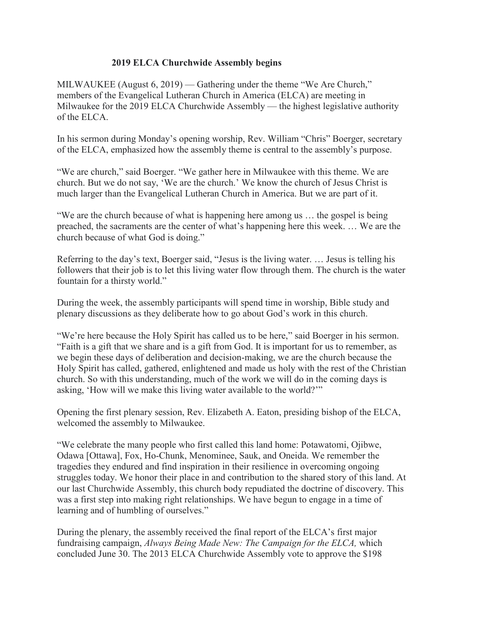## **2019 ELCA Churchwide Assembly begins**

MILWAUKEE (August 6, 2019) — Gathering under the theme "We Are Church," members of the Evangelical Lutheran Church in America (ELCA) are meeting in Milwaukee for the 2019 ELCA Churchwide Assembly — the highest legislative authority of the ELCA.

In his sermon during Monday's opening worship, Rev. William "Chris" Boerger, secretary of the ELCA, emphasized how the assembly theme is central to the assembly's purpose.

"We are church," said Boerger. "We gather here in Milwaukee with this theme. We are church. But we do not say, 'We are the church.' We know the church of Jesus Christ is much larger than the Evangelical Lutheran Church in America. But we are part of it.

"We are the church because of what is happening here among us … the gospel is being preached, the sacraments are the center of what's happening here this week. … We are the church because of what God is doing."

Referring to the day's text, Boerger said, "Jesus is the living water. … Jesus is telling his followers that their job is to let this living water flow through them. The church is the water fountain for a thirsty world."

During the week, the assembly participants will spend time in worship, Bible study and plenary discussions as they deliberate how to go about God's work in this church.

"We're here because the Holy Spirit has called us to be here," said Boerger in his sermon. "Faith is a gift that we share and is a gift from God. It is important for us to remember, as we begin these days of deliberation and decision-making, we are the church because the Holy Spirit has called, gathered, enlightened and made us holy with the rest of the Christian church. So with this understanding, much of the work we will do in the coming days is asking, 'How will we make this living water available to the world?'"

Opening the first plenary session, Rev. Elizabeth A. Eaton, presiding bishop of the ELCA, welcomed the assembly to Milwaukee.

"We celebrate the many people who first called this land home: Potawatomi, Ojibwe, Odawa [Ottawa], Fox, Ho-Chunk, Menominee, Sauk, and Oneida. We remember the tragedies they endured and find inspiration in their resilience in overcoming ongoing struggles today. We honor their place in and contribution to the shared story of this land. At our last Churchwide Assembly, this church body repudiated the doctrine of discovery. This was a first step into making right relationships. We have begun to engage in a time of learning and of humbling of ourselves."

During the plenary, the assembly received the final report of the ELCA's first major fundraising campaign, *Always Being Made New: The Campaign for the ELCA,* which concluded June 30. The 2013 ELCA Churchwide Assembly vote to approve the \$198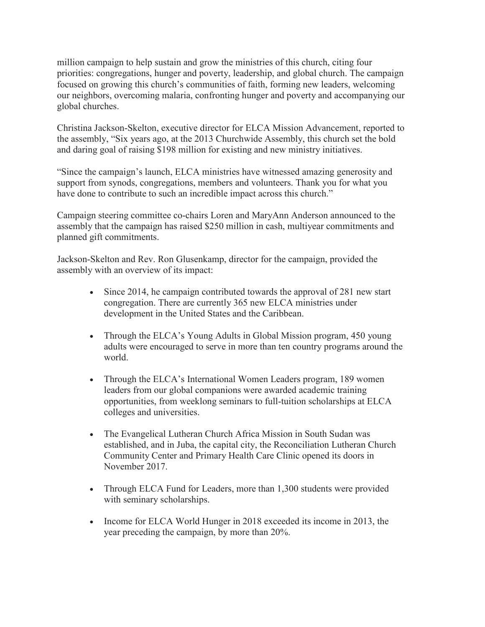million campaign to help sustain and grow the ministries of this church, citing four priorities: congregations, hunger and poverty, leadership, and global church. The campaign focused on growing this church's communities of faith, forming new leaders, welcoming our neighbors, overcoming malaria, confronting hunger and poverty and accompanying our global churches.

Christina Jackson-Skelton, executive director for ELCA Mission Advancement, reported to the assembly, "Six years ago, at the 2013 Churchwide Assembly, this church set the bold and daring goal of raising \$198 million for existing and new ministry initiatives.

"Since the campaign's launch, ELCA ministries have witnessed amazing generosity and support from synods, congregations, members and volunteers. Thank you for what you have done to contribute to such an incredible impact across this church."

Campaign steering committee co-chairs Loren and MaryAnn Anderson announced to the assembly that the campaign has raised \$250 million in cash, multiyear commitments and planned gift commitments.

Jackson-Skelton and Rev. Ron Glusenkamp, director for the campaign, provided the assembly with an overview of its impact:

- Since 2014, he campaign contributed towards the approval of 281 new start congregation. There are currently 365 new ELCA ministries under development in the United States and the Caribbean.
- Through the ELCA's Young Adults in Global Mission program, 450 young adults were encouraged to serve in more than ten country programs around the world.
- Through the ELCA's International Women Leaders program, 189 women leaders from our global companions were awarded academic training opportunities, from weeklong seminars to full-tuition scholarships at ELCA colleges and universities.
- The Evangelical Lutheran Church Africa Mission in South Sudan was established, and in Juba, the capital city, the Reconciliation Lutheran Church Community Center and Primary Health Care Clinic opened its doors in November 2017.
- Through ELCA Fund for Leaders, more than 1,300 students were provided with seminary scholarships.
- Income for ELCA World Hunger in 2018 exceeded its income in 2013, the year preceding the campaign, by more than 20%.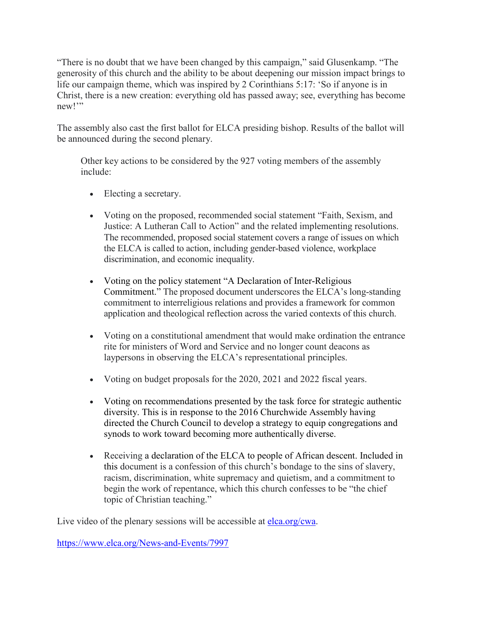"There is no doubt that we have been changed by this campaign," said Glusenkamp. "The generosity of this church and the ability to be about deepening our mission impact brings to life our campaign theme, which was inspired by 2 Corinthians 5:17: 'So if anyone is in Christ, there is a new creation: everything old has passed away; see, everything has become new!"

The assembly also cast the first ballot for ELCA presiding bishop. Results of the ballot will be announced during the second plenary.

Other key actions to be considered by the 927 voting members of the assembly include:

- Electing a secretary.
- Voting on the proposed, recommended social statement "Faith, Sexism, and Justice: A Lutheran Call to Action" and the related implementing resolutions. The recommended, proposed social statement covers a range of issues on which the ELCA is called to action, including gender-based violence, workplace discrimination, and economic inequality.
- Voting on the policy statement "A Declaration of Inter-Religious Commitment." The proposed document underscores the ELCA's long-standing commitment to interreligious relations and provides a framework for common application and theological reflection across the varied contexts of this church.
- Voting on a constitutional amendment that would make ordination the entrance rite for ministers of Word and Service and no longer count deacons as laypersons in observing the ELCA's representational principles.
- Voting on budget proposals for the 2020, 2021 and 2022 fiscal years.
- Voting on recommendations presented by the task force for strategic authentic diversity. This is in response to the 2016 Churchwide Assembly having directed the Church Council to develop a strategy to equip congregations and synods to work toward becoming more authentically diverse.
- Receiving a declaration of the ELCA to people of African descent. Included in this document is a confession of this church's bondage to the sins of slavery, racism, discrimination, white supremacy and quietism, and a commitment to begin the work of repentance, which this church confesses to be "the chief topic of Christian teaching."

Live video of the plenary sessions will be accessible at [elca.org/cwa.](https://www.elca.org/cwa)

<https://www.elca.org/News-and-Events/7997>